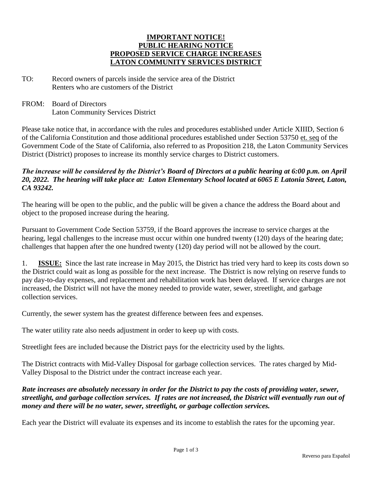#### **IMPORTANT NOTICE! PUBLIC HEARING NOTICE PROPOSED SERVICE CHARGE INCREASES LATON COMMUNITY SERVICES DISTRICT**

- TO: Record owners of parcels inside the service area of the District Renters who are customers of the District
- FROM: Board of Directors Laton Community Services District

Please take notice that, in accordance with the rules and procedures established under Article XIIID, Section 6 of the California Constitution and those additional procedures established under Section 53750 et. seq of the Government Code of the State of California, also referred to as Proposition 218, the Laton Community Services District (District) proposes to increase its monthly service charges to District customers.

#### *The increase will be considered by the District's Board of Directors at a public hearing at 6:00 p.m. on April 20, 2022. The hearing will take place at: Laton Elementary School located at 6065 E Latonia Street, Laton, CA 93242.*

The hearing will be open to the public, and the public will be given a chance the address the Board about and object to the proposed increase during the hearing.

Pursuant to Government Code Section 53759, if the Board approves the increase to service charges at the hearing, legal challenges to the increase must occur within one hundred twenty (120) days of the hearing date; challenges that happen after the one hundred twenty (120) day period will not be allowed by the court.

1. **ISSUE:** Since the last rate increase in May 2015, the District has tried very hard to keep its costs down so the District could wait as long as possible for the next increase. The District is now relying on reserve funds to pay day-to-day expenses, and replacement and rehabilitation work has been delayed. If service charges are not increased, the District will not have the money needed to provide water, sewer, streetlight, and garbage collection services.

Currently, the sewer system has the greatest difference between fees and expenses.

The water utility rate also needs adjustment in order to keep up with costs.

Streetlight fees are included because the District pays for the electricity used by the lights.

The District contracts with Mid-Valley Disposal for garbage collection services. The rates charged by Mid-Valley Disposal to the District under the contract increase each year.

#### *Rate increases are absolutely necessary in order for the District to pay the costs of providing water, sewer, streetlight, and garbage collection services. If rates are not increased, the District will eventually run out of money and there will be no water, sewer, streetlight, or garbage collection services.*

Each year the District will evaluate its expenses and its income to establish the rates for the upcoming year.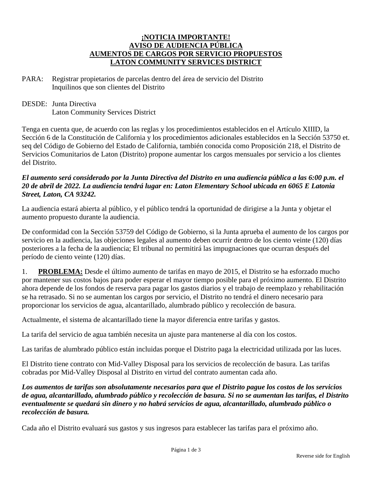#### **¡NOTICIA IMPORTANTE! AVISO DE AUDIENCIA PÚBLICA AUMENTOS DE CARGOS POR SERVICIO PROPUESTOS LATON COMMUNITY SERVICES DISTRICT**

- PARA: Registrar propietarios de parcelas dentro del área de servicio del Distrito Inquilinos que son clientes del Distrito
- DESDE: Junta Directiva Laton Community Services District

Tenga en cuenta que, de acuerdo con las reglas y los procedimientos establecidos en el Artículo XIIID, la Sección 6 de la Constitución de California y los procedimientos adicionales establecidos en la Sección 53750 et. seq del Código de Gobierno del Estado de California, también conocida como Proposición 218, el Distrito de Servicios Comunitarios de Laton (Distrito) propone aumentar los cargos mensuales por servicio a los clientes del Distrito.

#### *El aumento será considerado por la Junta Directiva del Distrito en una audiencia pública a las 6:00 p.m. el 20 de abril de 2022. La audiencia tendrá lugar en: Laton Elementary School ubicada en 6065 E Latonia Street, Laton, CA 93242.*

La audiencia estará abierta al público, y el público tendrá la oportunidad de dirigirse a la Junta y objetar el aumento propuesto durante la audiencia.

De conformidad con la Sección 53759 del Código de Gobierno, si la Junta aprueba el aumento de los cargos por servicio en la audiencia, las objeciones legales al aumento deben ocurrir dentro de los ciento veinte (120) días posteriores a la fecha de la audiencia; El tribunal no permitirá las impugnaciones que ocurran después del período de ciento veinte (120) días.

1. **PROBLEMA:** Desde el último aumento de tarifas en mayo de 2015, el Distrito se ha esforzado mucho por mantener sus costos bajos para poder esperar el mayor tiempo posible para el próximo aumento. El Distrito ahora depende de los fondos de reserva para pagar los gastos diarios y el trabajo de reemplazo y rehabilitación se ha retrasado. Si no se aumentan los cargos por servicio, el Distrito no tendrá el dinero necesario para proporcionar los servicios de agua, alcantarillado, alumbrado público y recolección de basura.

Actualmente, el sistema de alcantarillado tiene la mayor diferencia entre tarifas y gastos.

La tarifa del servicio de agua también necesita un ajuste para mantenerse al día con los costos.

Las tarifas de alumbrado público están incluidas porque el Distrito paga la electricidad utilizada por las luces.

El Distrito tiene contrato con Mid-Valley Disposal para los servicios de recolección de basura. Las tarifas cobradas por Mid-Valley Disposal al Distrito en virtud del contrato aumentan cada año.

*Los aumentos de tarifas son absolutamente necesarios para que el Distrito pague los costos de los servicios de agua, alcantarillado, alumbrado público y recolección de basura. Si no se aumentan las tarifas, el Distrito eventualmente se quedará sin dinero y no habrá servicios de agua, alcantarillado, alumbrado público o recolección de basura.*

Cada año el Distrito evaluará sus gastos y sus ingresos para establecer las tarifas para el próximo año.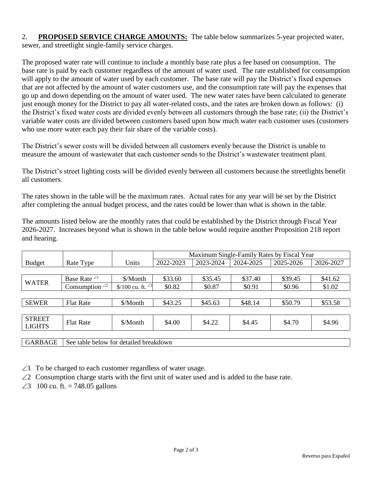### 2. **PROPOSED SERVICE CHARGE AMOUNTS:** The table below summarizes 5-year projected water, sewer, and streetlight single-family service charges.

The proposed water rate will continue to include a monthly base rate plus a fee based on consumption. The base rate is paid by each customer regardless of the amount of water used. The rate established for consumption will apply to the amount of water used by each customer. The base rate will pay the District's fixed expenses that are not affected by the amount of water customers use, and the consumption rate will pay the expenses that go up and down depending on the amount of water used. The new water rates have been calculated to generate just enough money for the District to pay all water-related costs, and the rates are broken down as follows: (i) the District's fixed water costs are divided evenly between all customers through the base rate; (ii) the District's variable water costs are divided between customers based upon how much water each customer uses (customers who use more water each pay their fair share of the variable costs).

The District's sewer costs will be divided between all customers evenly because the District is unable to measure the amount of wastewater that each customer sends to the District's wastewater treatment plant.

The District's street lighting costs will be divided evenly between all customers because the streetlights benefit all customers.

The rates shown in the table will be the maximum rates. Actual rates for any year will be set by the District after completing the annual budget process, and the rates could be lower than what is shown in the table.

The amounts listed below are the monthly rates that could be established by the District through Fiscal Year 2026-2027. Increases beyond what is shown in the table below would require another Proposition 218 report and hearing.

|                |                                        |                     | Maximum Single-Family Rates by Fiscal Year |           |           |           |           |  |
|----------------|----------------------------------------|---------------------|--------------------------------------------|-----------|-----------|-----------|-----------|--|
| <b>Budget</b>  | Rate Type                              | Units               | 2022-2023                                  | 2023-2024 | 2024-2025 | 2025-2026 | 2026-2027 |  |
|                |                                        |                     |                                            |           |           |           |           |  |
| <b>WATER</b>   | Base Rate $\angle$ <sup>1</sup>        | \$/Month            | \$33.60                                    | \$35.45   | \$37.40   | \$39.45   | \$41.62   |  |
|                | Consumption $^{2}$                     | \$/100 cu. ft. $23$ | \$0.82                                     | \$0.87    | \$0.91    | \$0.96    | \$1.02    |  |
|                |                                        |                     |                                            |           |           |           |           |  |
| <b>SEWER</b>   | <b>Flat Rate</b>                       | \$/Month            | \$43.25                                    | \$45.63   | \$48.14   | \$50.79   | \$53.58   |  |
|                |                                        |                     |                                            |           |           |           |           |  |
| <b>STREET</b>  | <b>Flat Rate</b>                       | \$/Month            | \$4.00                                     | \$4.22    | \$4.45    | \$4.70    | \$4.96    |  |
| <b>LIGHTS</b>  |                                        |                     |                                            |           |           |           |           |  |
|                |                                        |                     |                                            |           |           |           |           |  |
| <b>GARBAGE</b> | See table below for detailed breakdown |                     |                                            |           |           |           |           |  |

 $\angle$ 1 To be charged to each customer regardless of water usage.

 $\angle 2$  Consumption charge starts with the first unit of water used and is added to the base rate.

 $\angle 3$  100 cu. ft. = 748.05 gallons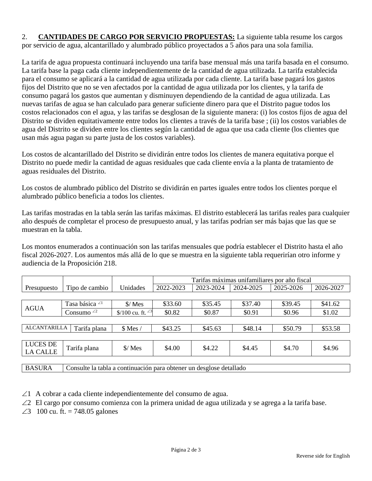## 2. **CANTIDADES DE CARGO POR SERVICIO PROPUESTAS:** La siguiente tabla resume los cargos por servicio de agua, alcantarillado y alumbrado público proyectados a 5 años para una sola familia.

La tarifa de agua propuesta continuará incluyendo una tarifa base mensual más una tarifa basada en el consumo. La tarifa base la paga cada cliente independientemente de la cantidad de agua utilizada. La tarifa establecida para el consumo se aplicará a la cantidad de agua utilizada por cada cliente. La tarifa base pagará los gastos fijos del Distrito que no se ven afectados por la cantidad de agua utilizada por los clientes, y la tarifa de consumo pagará los gastos que aumentan y disminuyen dependiendo de la cantidad de agua utilizada. Las nuevas tarifas de agua se han calculado para generar suficiente dinero para que el Distrito pague todos los costos relacionados con el agua, y las tarifas se desglosan de la siguiente manera: (i) los costos fijos de agua del Distrito se dividen equitativamente entre todos los clientes a través de la tarifa base ; (ii) los costos variables de agua del Distrito se dividen entre los clientes según la cantidad de agua que usa cada cliente (los clientes que usan más agua pagan su parte justa de los costos variables).

Los costos de alcantarillado del Distrito se dividirán entre todos los clientes de manera equitativa porque el Distrito no puede medir la cantidad de aguas residuales que cada cliente envía a la planta de tratamiento de aguas residuales del Distrito.

Los costos de alumbrado público del Distrito se dividirán en partes iguales entre todos los clientes porque el alumbrado público beneficia a todos los clientes.

Las tarifas mostradas en la tabla serán las tarifas máximas. El distrito establecerá las tarifas reales para cualquier año después de completar el proceso de presupuesto anual, y las tarifas podrían ser más bajas que las que se muestran en la tabla.

Los montos enumerados a continuación son las tarifas mensuales que podría establecer el Distrito hasta el año fiscal 2026-2027. Los aumentos más allá de lo que se muestra en la siguiente tabla requerirían otro informe y audiencia de la Proposición 218.

|                                  |                           |                               | Tarifas máximas unifamiliares por año fiscal |                                                                               |           |           |           |  |
|----------------------------------|---------------------------|-------------------------------|----------------------------------------------|-------------------------------------------------------------------------------|-----------|-----------|-----------|--|
| Presupuesto                      | Tipo de cambio            | Unidades                      | 2022-2023                                    | 2023-2024                                                                     | 2024-2025 | 2025-2026 | 2026-2027 |  |
|                                  |                           |                               |                                              |                                                                               |           |           |           |  |
| <b>AGUA</b>                      | Tasa básica <sup>∠1</sup> | $\frac{\text{S}}{\text{Mes}}$ | \$33.60                                      | \$35.45                                                                       | \$37.40   | \$39.45   | \$41.62   |  |
|                                  | Consumo $^{2}$            | \$/100 cu. ft. $23$           | \$0.82                                       | \$0.87                                                                        | \$0.91    | \$0.96    | \$1.02    |  |
|                                  |                           |                               |                                              |                                                                               |           |           |           |  |
| <b>ALCANTARILLA</b>              | Tarifa plana              | $$$ Mes /                     | \$43.25                                      | \$45.63                                                                       | \$48.14   | \$50.79   | \$53.58   |  |
|                                  |                           |                               |                                              |                                                                               |           |           |           |  |
| LUCES DE                         | Tarifa plana              | $\frac{\text{S}}{\text{Mes}}$ | \$4.00                                       | \$4.22                                                                        | \$4.45    | \$4.70    | \$4.96    |  |
| <b>LA CALLE</b>                  |                           |                               |                                              |                                                                               |           |           |           |  |
|                                  |                           |                               |                                              |                                                                               |           |           |           |  |
| $P_{\text{A}}$ $\alpha$ $\alpha$ | $\sim$                    | $\cdot$ $\cdot$               | $\blacksquare$                               | $\mathbf{1}$ $\mathbf{1}$ $\mathbf{1}$ $\mathbf{1}$ $\mathbf{1}$ $\mathbf{1}$ |           |           |           |  |

BASURA Consulte la tabla a continuación para obtener un desglose detallado

 $\angle$ 1 A cobrar a cada cliente independientemente del consumo de agua.

 $\angle$ 2 El cargo por consumo comienza con la primera unidad de agua utilizada y se agrega a la tarifa base.

 $\angle 3$  100 cu. ft. = 748.05 galones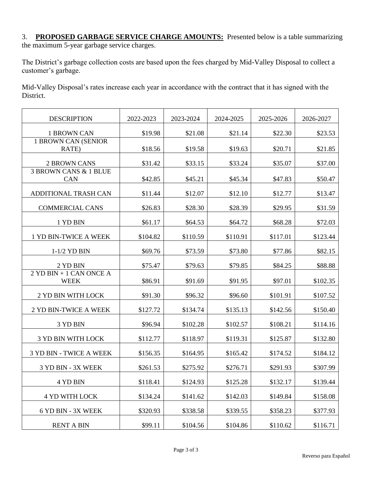#### 3. **PROPOSED GARBAGE SERVICE CHARGE AMOUNTS:** Presented below is a table summarizing the maximum 5-year garbage service charges.

The District's garbage collection costs are based upon the fees charged by Mid-Valley Disposal to collect a customer's garbage.

Mid-Valley Disposal's rates increase each year in accordance with the contract that it has signed with the District.

| <b>DESCRIPTION</b>                     | 2022-2023 | 2023-2024 | 2024-2025 | 2025-2026 | 2026-2027 |
|----------------------------------------|-----------|-----------|-----------|-----------|-----------|
| 1 BROWN CAN                            | \$19.98   | \$21.08   | \$21.14   | \$22.30   | \$23.53   |
| 1 BROWN CAN (SENIOR<br>RATE)           | \$18.56   | \$19.58   | \$19.63   | \$20.71   | \$21.85   |
| <b>2 BROWN CANS</b>                    | \$31.42   | \$33.15   | \$33.24   | \$35.07   | \$37.00   |
| 3 BROWN CANS & 1 BLUE<br>CAN           | \$42.85   | \$45.21   | \$45.34   | \$47.83   | \$50.47   |
| ADDITIONAL TRASH CAN                   | \$11.44   | \$12.07   | \$12.10   | \$12.77   | \$13.47   |
| <b>COMMERCIAL CANS</b>                 | \$26.83   | \$28.30   | \$28.39   | \$29.95   | \$31.59   |
| 1 YD BIN                               | \$61.17   | \$64.53   | \$64.72   | \$68.28   | \$72.03   |
| 1 YD BIN-TWICE A WEEK                  | \$104.82  | \$110.59  | \$110.91  | \$117.01  | \$123.44  |
| 1-1/2 YD BIN                           | \$69.76   | \$73.59   | \$73.80   | \$77.86   | \$82.15   |
| 2 YD BIN                               | \$75.47   | \$79.63   | \$79.85   | \$84.25   | \$88.88   |
| 2 YD BIN + 1 CAN ONCE A<br><b>WEEK</b> | \$86.91   | \$91.69   | \$91.95   | \$97.01   | \$102.35  |
| 2 YD BIN WITH LOCK                     | \$91.30   | \$96.32   | \$96.60   | \$101.91  | \$107.52  |
| 2 YD BIN-TWICE A WEEK                  | \$127.72  | \$134.74  | \$135.13  | \$142.56  | \$150.40  |
| 3 YD BIN                               | \$96.94   | \$102.28  | \$102.57  | \$108.21  | \$114.16  |
| <b>3 YD BIN WITH LOCK</b>              | \$112.77  | \$118.97  | \$119.31  | \$125.87  | \$132.80  |
| <b>3 YD BIN - TWICE A WEEK</b>         | \$156.35  | \$164.95  | \$165.42  | \$174.52  | \$184.12  |
| 3 YD BIN - 3X WEEK                     | \$261.53  | \$275.92  | \$276.71  | \$291.93  | \$307.99  |
| 4 YD BIN                               | \$118.41  | \$124.93  | \$125.28  | \$132.17  | \$139.44  |
| <b>4 YD WITH LOCK</b>                  | \$134.24  | \$141.62  | \$142.03  | \$149.84  | \$158.08  |
| 6 YD BIN - 3X WEEK                     | \$320.93  | \$338.58  | \$339.55  | \$358.23  | \$377.93  |
| <b>RENT A BIN</b>                      | \$99.11   | \$104.56  | \$104.86  | \$110.62  | \$116.71  |